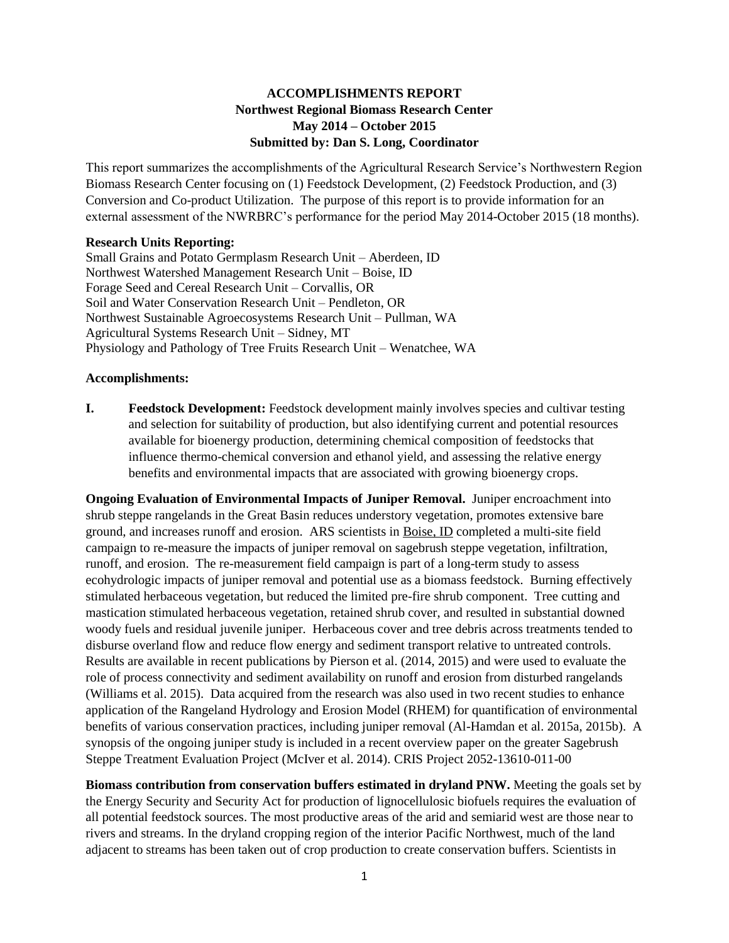## **ACCOMPLISHMENTS REPORT Northwest Regional Biomass Research Center May 2014 – October 2015 Submitted by: Dan S. Long, Coordinator**

This report summarizes the accomplishments of the Agricultural Research Service's Northwestern Region Biomass Research Center focusing on (1) Feedstock Development, (2) Feedstock Production, and (3) Conversion and Co-product Utilization. The purpose of this report is to provide information for an external assessment of the NWRBRC's performance for the period May 2014-October 2015 (18 months).

### **Research Units Reporting:**

Small Grains and Potato Germplasm Research Unit – Aberdeen, ID Northwest Watershed Management Research Unit – Boise, ID Forage Seed and Cereal Research Unit – Corvallis, OR Soil and Water Conservation Research Unit – Pendleton, OR Northwest Sustainable Agroecosystems Research Unit – Pullman, WA Agricultural Systems Research Unit – Sidney, MT Physiology and Pathology of Tree Fruits Research Unit – Wenatchee, WA

#### **Accomplishments:**

**I. Feedstock Development:** Feedstock development mainly involves species and cultivar testing and selection for suitability of production, but also identifying current and potential resources available for bioenergy production, determining chemical composition of feedstocks that influence thermo-chemical conversion and ethanol yield, and assessing the relative energy benefits and environmental impacts that are associated with growing bioenergy crops.

**Ongoing Evaluation of Environmental Impacts of Juniper Removal.** Juniper encroachment into shrub steppe rangelands in the Great Basin reduces understory vegetation, promotes extensive bare ground, and increases runoff and erosion. ARS scientists in Boise, ID completed a multi-site field campaign to re-measure the impacts of juniper removal on sagebrush steppe vegetation, infiltration, runoff, and erosion. The re-measurement field campaign is part of a long-term study to assess ecohydrologic impacts of juniper removal and potential use as a biomass feedstock. Burning effectively stimulated herbaceous vegetation, but reduced the limited pre-fire shrub component. Tree cutting and mastication stimulated herbaceous vegetation, retained shrub cover, and resulted in substantial downed woody fuels and residual juvenile juniper. Herbaceous cover and tree debris across treatments tended to disburse overland flow and reduce flow energy and sediment transport relative to untreated controls. Results are available in recent publications by Pierson et al. (2014, 2015) and were used to evaluate the role of process connectivity and sediment availability on runoff and erosion from disturbed rangelands (Williams et al. 2015). Data acquired from the research was also used in two recent studies to enhance application of the Rangeland Hydrology and Erosion Model (RHEM) for quantification of environmental benefits of various conservation practices, including juniper removal (Al-Hamdan et al. 2015a, 2015b). A synopsis of the ongoing juniper study is included in a recent overview paper on the greater Sagebrush Steppe Treatment Evaluation Project (McIver et al. 2014). CRIS Project 2052-13610-011-00

**Biomass contribution from conservation buffers estimated in dryland PNW.** Meeting the goals set by the Energy Security and Security Act for production of lignocellulosic biofuels requires the evaluation of all potential feedstock sources. The most productive areas of the arid and semiarid west are those near to rivers and streams. In the dryland cropping region of the interior Pacific Northwest, much of the land adjacent to streams has been taken out of crop production to create conservation buffers. Scientists in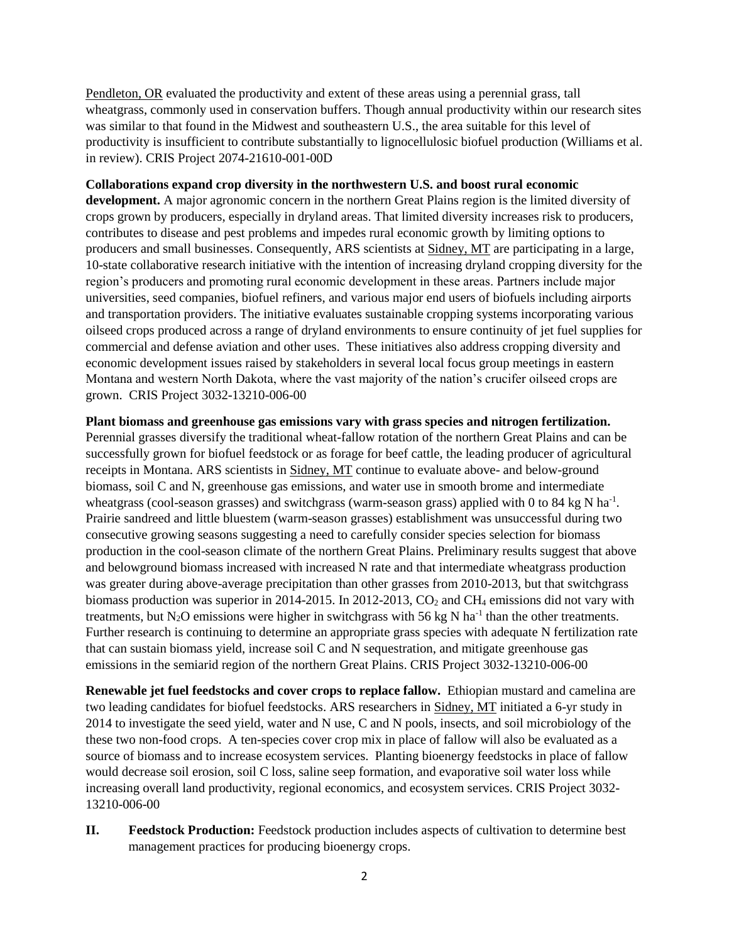Pendleton, OR evaluated the productivity and extent of these areas using a perennial grass, tall wheatgrass, commonly used in conservation buffers. Though annual productivity within our research sites was similar to that found in the Midwest and southeastern U.S., the area suitable for this level of productivity is insufficient to contribute substantially to lignocellulosic biofuel production (Williams et al. in review). CRIS Project 2074-21610-001-00D

#### **Collaborations expand crop diversity in the northwestern U.S. and boost rural economic**

**development.** A major agronomic concern in the northern Great Plains region is the limited diversity of crops grown by producers, especially in dryland areas. That limited diversity increases risk to producers, contributes to disease and pest problems and impedes rural economic growth by limiting options to producers and small businesses. Consequently, ARS scientists at Sidney, MT are participating in a large, 10-state collaborative research initiative with the intention of increasing dryland cropping diversity for the region's producers and promoting rural economic development in these areas. Partners include major universities, seed companies, biofuel refiners, and various major end users of biofuels including airports and transportation providers. The initiative evaluates sustainable cropping systems incorporating various oilseed crops produced across a range of dryland environments to ensure continuity of jet fuel supplies for commercial and defense aviation and other uses. These initiatives also address cropping diversity and economic development issues raised by stakeholders in several local focus group meetings in eastern Montana and western North Dakota, where the vast majority of the nation's crucifer oilseed crops are grown. CRIS Project 3032-13210-006-00

### **Plant biomass and greenhouse gas emissions vary with grass species and nitrogen fertilization.**

Perennial grasses diversify the traditional wheat-fallow rotation of the northern Great Plains and can be successfully grown for biofuel feedstock or as forage for beef cattle, the leading producer of agricultural receipts in Montana. ARS scientists in Sidney, MT continue to evaluate above- and below-ground biomass, soil C and N, greenhouse gas emissions, and water use in smooth brome and intermediate wheatgrass (cool-season grasses) and switchgrass (warm-season grass) applied with 0 to 84 kg N ha<sup>-1</sup>. Prairie sandreed and little bluestem (warm-season grasses) establishment was unsuccessful during two consecutive growing seasons suggesting a need to carefully consider species selection for biomass production in the cool-season climate of the northern Great Plains. Preliminary results suggest that above and belowground biomass increased with increased N rate and that intermediate wheatgrass production was greater during above-average precipitation than other grasses from 2010-2013, but that switchgrass biomass production was superior in 2014-2015. In 2012-2013,  $CO<sub>2</sub>$  and CH<sub>4</sub> emissions did not vary with treatments, but  $N_2O$  emissions were higher in switchgrass with 56 kg N ha<sup>-1</sup> than the other treatments. Further research is continuing to determine an appropriate grass species with adequate N fertilization rate that can sustain biomass yield, increase soil C and N sequestration, and mitigate greenhouse gas emissions in the semiarid region of the northern Great Plains. CRIS Project 3032-13210-006-00

**Renewable jet fuel feedstocks and cover crops to replace fallow.** Ethiopian mustard and camelina are two leading candidates for biofuel feedstocks. ARS researchers in Sidney, MT initiated a 6-yr study in 2014 to investigate the seed yield, water and N use, C and N pools, insects, and soil microbiology of the these two non-food crops. A ten-species cover crop mix in place of fallow will also be evaluated as a source of biomass and to increase ecosystem services. Planting bioenergy feedstocks in place of fallow would decrease soil erosion, soil C loss, saline seep formation, and evaporative soil water loss while increasing overall land productivity, regional economics, and ecosystem services. CRIS Project 3032- 13210-006-00

**II. Feedstock Production:** Feedstock production includes aspects of cultivation to determine best management practices for producing bioenergy crops.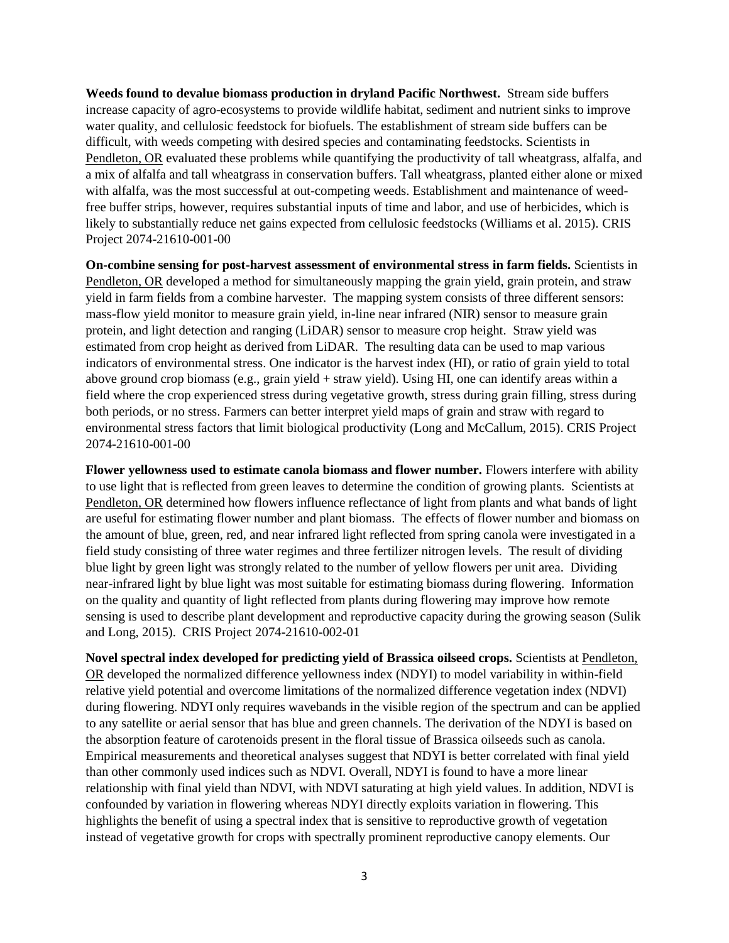**Weeds found to devalue biomass production in dryland Pacific Northwest.** Stream side buffers increase capacity of agro-ecosystems to provide wildlife habitat, sediment and nutrient sinks to improve water quality, and cellulosic feedstock for biofuels. The establishment of stream side buffers can be difficult, with weeds competing with desired species and contaminating feedstocks. Scientists in Pendleton, OR evaluated these problems while quantifying the productivity of tall wheatgrass, alfalfa, and a mix of alfalfa and tall wheatgrass in conservation buffers. Tall wheatgrass, planted either alone or mixed with alfalfa, was the most successful at out-competing weeds. Establishment and maintenance of weedfree buffer strips, however, requires substantial inputs of time and labor, and use of herbicides, which is likely to substantially reduce net gains expected from cellulosic feedstocks (Williams et al. 2015). CRIS Project 2074-21610-001-00

**On-combine sensing for post-harvest assessment of environmental stress in farm fields.** Scientists in Pendleton, OR developed a method for simultaneously mapping the grain yield, grain protein, and straw yield in farm fields from a combine harvester. The mapping system consists of three different sensors: mass-flow yield monitor to measure grain yield, in-line near infrared (NIR) sensor to measure grain protein, and light detection and ranging (LiDAR) sensor to measure crop height. Straw yield was estimated from crop height as derived from LiDAR. The resulting data can be used to map various indicators of environmental stress. One indicator is the harvest index (HI), or ratio of grain yield to total above ground crop biomass (e.g., grain yield + straw yield). Using HI, one can identify areas within a field where the crop experienced stress during vegetative growth, stress during grain filling, stress during both periods, or no stress. Farmers can better interpret yield maps of grain and straw with regard to environmental stress factors that limit biological productivity (Long and McCallum, 2015). CRIS Project 2074-21610-001-00

**Flower yellowness used to estimate canola biomass and flower number.** Flowers interfere with ability to use light that is reflected from green leaves to determine the condition of growing plants. Scientists at Pendleton, OR determined how flowers influence reflectance of light from plants and what bands of light are useful for estimating flower number and plant biomass. The effects of flower number and biomass on the amount of blue, green, red, and near infrared light reflected from spring canola were investigated in a field study consisting of three water regimes and three fertilizer nitrogen levels. The result of dividing blue light by green light was strongly related to the number of yellow flowers per unit area. Dividing near-infrared light by blue light was most suitable for estimating biomass during flowering. Information on the quality and quantity of light reflected from plants during flowering may improve how remote sensing is used to describe plant development and reproductive capacity during the growing season (Sulik and Long, 2015). CRIS Project 2074-21610-002-01

**Novel spectral index developed for predicting yield of Brassica oilseed crops.** Scientists at Pendleton, OR developed the normalized difference yellowness index (NDYI) to model variability in within-field relative yield potential and overcome limitations of the normalized difference vegetation index (NDVI) during flowering. NDYI only requires wavebands in the visible region of the spectrum and can be applied to any satellite or aerial sensor that has blue and green channels. The derivation of the NDYI is based on the absorption feature of carotenoids present in the floral tissue of Brassica oilseeds such as canola. Empirical measurements and theoretical analyses suggest that NDYI is better correlated with final yield than other commonly used indices such as NDVI. Overall, NDYI is found to have a more linear relationship with final yield than NDVI, with NDVI saturating at high yield values. In addition, NDVI is confounded by variation in flowering whereas NDYI directly exploits variation in flowering. This highlights the benefit of using a spectral index that is sensitive to reproductive growth of vegetation instead of vegetative growth for crops with spectrally prominent reproductive canopy elements. Our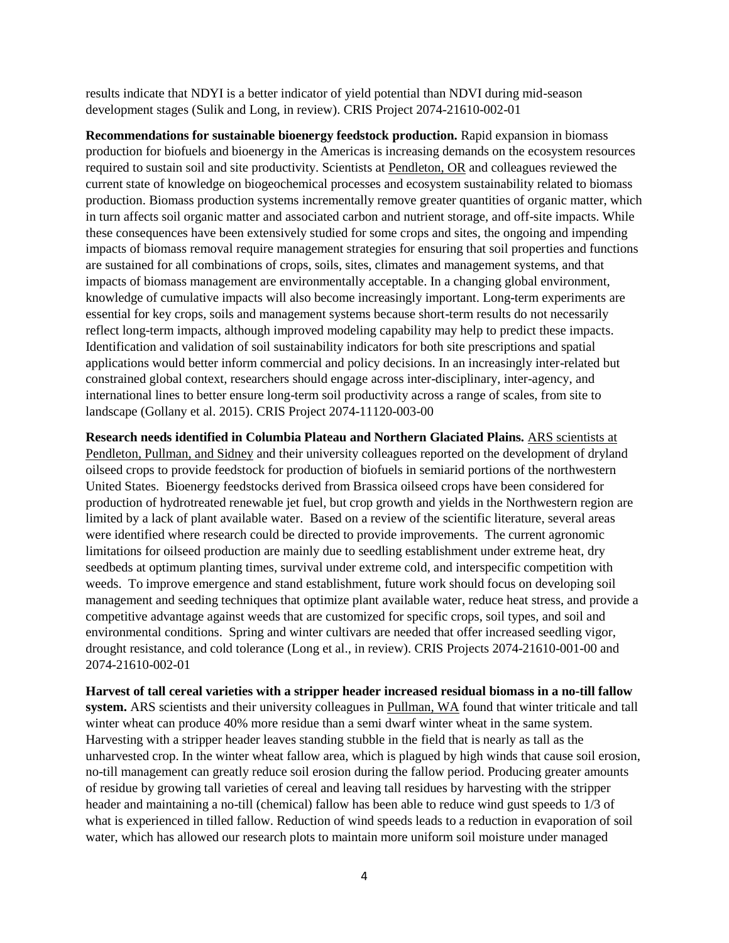results indicate that NDYI is a better indicator of yield potential than NDVI during mid-season development stages (Sulik and Long, in review). CRIS Project 2074-21610-002-01

**Recommendations for sustainable bioenergy feedstock production.** Rapid expansion in biomass production for biofuels and bioenergy in the Americas is increasing demands on the ecosystem resources required to sustain soil and site productivity. Scientists at Pendleton, OR and colleagues reviewed the current state of knowledge on biogeochemical processes and ecosystem sustainability related to biomass production. Biomass production systems incrementally remove greater quantities of organic matter, which in turn affects soil organic matter and associated carbon and nutrient storage, and off-site impacts. While these consequences have been extensively studied for some crops and sites, the ongoing and impending impacts of biomass removal require management strategies for ensuring that soil properties and functions are sustained for all combinations of crops, soils, sites, climates and management systems, and that impacts of biomass management are environmentally acceptable. In a changing global environment, knowledge of cumulative impacts will also become increasingly important. Long-term experiments are essential for key crops, soils and management systems because short-term results do not necessarily reflect long-term impacts, although improved modeling capability may help to predict these impacts. Identification and validation of soil sustainability indicators for both site prescriptions and spatial applications would better inform commercial and policy decisions. In an increasingly inter-related but constrained global context, researchers should engage across inter-disciplinary, inter-agency, and international lines to better ensure long-term soil productivity across a range of scales, from site to landscape (Gollany et al. 2015). CRIS Project 2074-11120-003-00

**Research needs identified in Columbia Plateau and Northern Glaciated Plains.** ARS scientists at Pendleton, Pullman, and Sidney and their university colleagues reported on the development of dryland oilseed crops to provide feedstock for production of biofuels in semiarid portions of the northwestern United States. Bioenergy feedstocks derived from Brassica oilseed crops have been considered for production of hydrotreated renewable jet fuel, but crop growth and yields in the Northwestern region are limited by a lack of plant available water. Based on a review of the scientific literature, several areas were identified where research could be directed to provide improvements. The current agronomic limitations for oilseed production are mainly due to seedling establishment under extreme heat, dry seedbeds at optimum planting times, survival under extreme cold, and interspecific competition with weeds. To improve emergence and stand establishment, future work should focus on developing soil management and seeding techniques that optimize plant available water, reduce heat stress, and provide a competitive advantage against weeds that are customized for specific crops, soil types, and soil and environmental conditions. Spring and winter cultivars are needed that offer increased seedling vigor, drought resistance, and cold tolerance (Long et al., in review). CRIS Projects 2074-21610-001-00 and 2074-21610-002-01

**Harvest of tall cereal varieties with a stripper header increased residual biomass in a no-till fallow system.** ARS scientists and their university colleagues in Pullman, WA found that winter triticale and tall winter wheat can produce 40% more residue than a semi dwarf winter wheat in the same system. Harvesting with a stripper header leaves standing stubble in the field that is nearly as tall as the unharvested crop. In the winter wheat fallow area, which is plagued by high winds that cause soil erosion, no-till management can greatly reduce soil erosion during the fallow period. Producing greater amounts of residue by growing tall varieties of cereal and leaving tall residues by harvesting with the stripper header and maintaining a no-till (chemical) fallow has been able to reduce wind gust speeds to 1/3 of what is experienced in tilled fallow. Reduction of wind speeds leads to a reduction in evaporation of soil water, which has allowed our research plots to maintain more uniform soil moisture under managed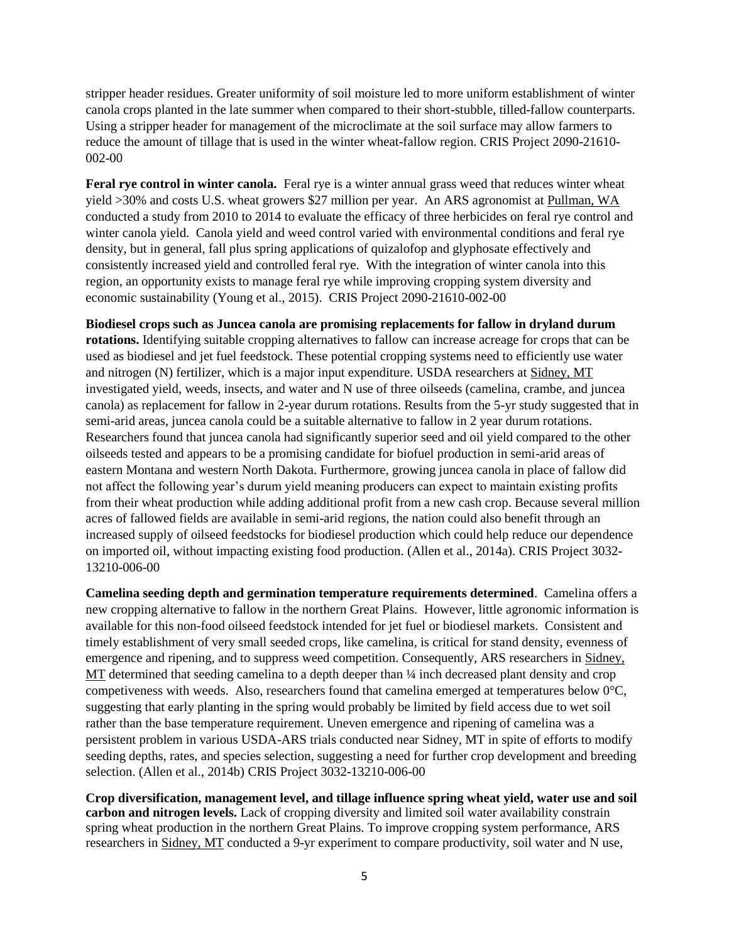stripper header residues. Greater uniformity of soil moisture led to more uniform establishment of winter canola crops planted in the late summer when compared to their short-stubble, tilled-fallow counterparts. Using a stripper header for management of the microclimate at the soil surface may allow farmers to reduce the amount of tillage that is used in the winter wheat-fallow region. CRIS Project 2090-21610- 002-00

**Feral rye control in winter canola.** Feral rye is a winter annual grass weed that reduces winter wheat yield >30% and costs U.S. wheat growers \$27 million per year. An ARS agronomist at Pullman, WA conducted a study from 2010 to 2014 to evaluate the efficacy of three herbicides on feral rye control and winter canola yield. Canola yield and weed control varied with environmental conditions and feral rye density, but in general, fall plus spring applications of quizalofop and glyphosate effectively and consistently increased yield and controlled feral rye. With the integration of winter canola into this region, an opportunity exists to manage feral rye while improving cropping system diversity and economic sustainability (Young et al., 2015). CRIS Project 2090-21610-002-00

**Biodiesel crops such as Juncea canola are promising replacements for fallow in dryland durum rotations.** Identifying suitable cropping alternatives to fallow can increase acreage for crops that can be used as biodiesel and jet fuel feedstock. These potential cropping systems need to efficiently use water and nitrogen (N) fertilizer, which is a major input expenditure. USDA researchers at Sidney, MT investigated yield, weeds, insects, and water and N use of three oilseeds (camelina, crambe, and juncea canola) as replacement for fallow in 2-year durum rotations. Results from the 5-yr study suggested that in semi-arid areas, juncea canola could be a suitable alternative to fallow in 2 year durum rotations. Researchers found that juncea canola had significantly superior seed and oil yield compared to the other oilseeds tested and appears to be a promising candidate for biofuel production in semi-arid areas of eastern Montana and western North Dakota. Furthermore, growing juncea canola in place of fallow did not affect the following year's durum yield meaning producers can expect to maintain existing profits from their wheat production while adding additional profit from a new cash crop. Because several million acres of fallowed fields are available in semi-arid regions, the nation could also benefit through an increased supply of oilseed feedstocks for biodiesel production which could help reduce our dependence on imported oil, without impacting existing food production. (Allen et al., 2014a). CRIS Project 3032- 13210-006-00

**Camelina seeding depth and germination temperature requirements determined**. Camelina offers a new cropping alternative to fallow in the northern Great Plains. However, little agronomic information is available for this non-food oilseed feedstock intended for jet fuel or biodiesel markets. Consistent and timely establishment of very small seeded crops, like camelina, is critical for stand density, evenness of emergence and ripening, and to suppress weed competition. Consequently, ARS researchers in Sidney, MT determined that seeding camelina to a depth deeper than  $\frac{1}{4}$  inch decreased plant density and crop competiveness with weeds. Also, researchers found that camelina emerged at temperatures below  $0^{\circ}$ C, suggesting that early planting in the spring would probably be limited by field access due to wet soil rather than the base temperature requirement. Uneven emergence and ripening of camelina was a persistent problem in various USDA-ARS trials conducted near Sidney, MT in spite of efforts to modify seeding depths, rates, and species selection, suggesting a need for further crop development and breeding selection. (Allen et al., 2014b) CRIS Project 3032-13210-006-00

**Crop diversification, management level, and tillage influence spring wheat yield, water use and soil carbon and nitrogen levels.** Lack of cropping diversity and limited soil water availability constrain spring wheat production in the northern Great Plains. To improve cropping system performance, ARS researchers in Sidney, MT conducted a 9-yr experiment to compare productivity, soil water and N use,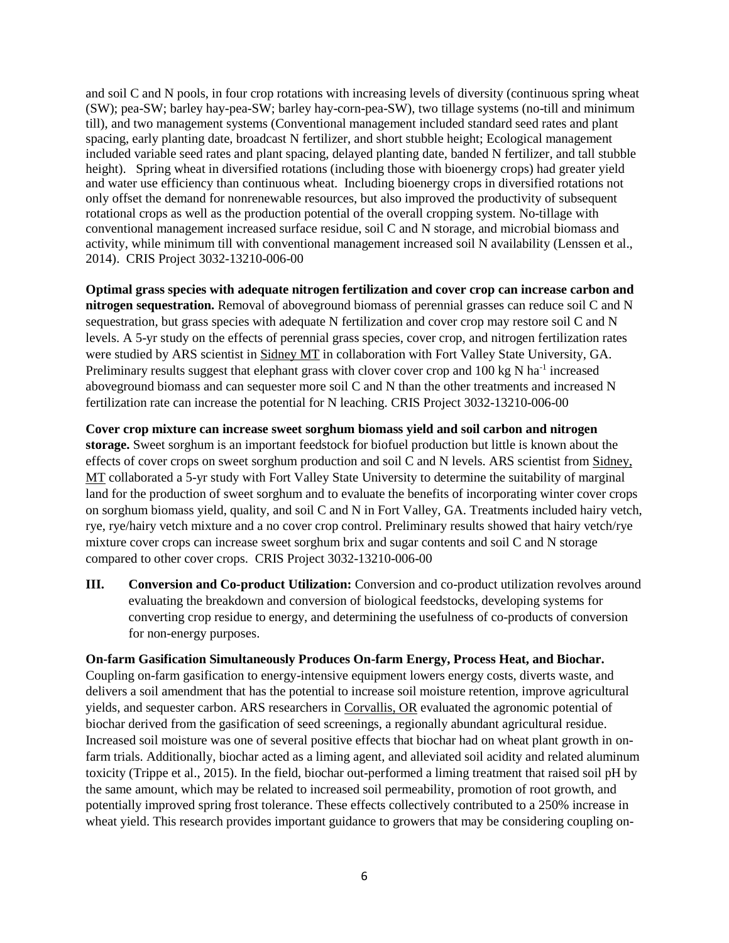and soil C and N pools, in four crop rotations with increasing levels of diversity (continuous spring wheat (SW); pea-SW; barley hay-pea-SW; barley hay-corn-pea-SW), two tillage systems (no-till and minimum till), and two management systems (Conventional management included standard seed rates and plant spacing, early planting date, broadcast N fertilizer, and short stubble height; Ecological management included variable seed rates and plant spacing, delayed planting date, banded N fertilizer, and tall stubble height). Spring wheat in diversified rotations (including those with bioenergy crops) had greater yield and water use efficiency than continuous wheat. Including bioenergy crops in diversified rotations not only offset the demand for nonrenewable resources, but also improved the productivity of subsequent rotational crops as well as the production potential of the overall cropping system. No-tillage with conventional management increased surface residue, soil C and N storage, and microbial biomass and activity, while minimum till with conventional management increased soil N availability (Lenssen et al., 2014). CRIS Project 3032-13210-006-00

**Optimal grass species with adequate nitrogen fertilization and cover crop can increase carbon and nitrogen sequestration.** Removal of aboveground biomass of perennial grasses can reduce soil C and N sequestration, but grass species with adequate N fertilization and cover crop may restore soil C and N levels. A 5-yr study on the effects of perennial grass species, cover crop, and nitrogen fertilization rates were studied by ARS scientist in Sidney MT in collaboration with Fort Valley State University, GA. Preliminary results suggest that elephant grass with clover cover crop and 100 kg N ha<sup>-1</sup> increased aboveground biomass and can sequester more soil C and N than the other treatments and increased N fertilization rate can increase the potential for N leaching. CRIS Project 3032-13210-006-00

**Cover crop mixture can increase sweet sorghum biomass yield and soil carbon and nitrogen storage.** Sweet sorghum is an important feedstock for biofuel production but little is known about the effects of cover crops on sweet sorghum production and soil C and N levels. ARS scientist from Sidney, MT collaborated a 5-yr study with Fort Valley State University to determine the suitability of marginal land for the production of sweet sorghum and to evaluate the benefits of incorporating winter cover crops on sorghum biomass yield, quality, and soil C and N in Fort Valley, GA. Treatments included hairy vetch, rye, rye/hairy vetch mixture and a no cover crop control. Preliminary results showed that hairy vetch/rye mixture cover crops can increase sweet sorghum brix and sugar contents and soil C and N storage compared to other cover crops. CRIS Project 3032-13210-006-00

**III. Conversion and Co-product Utilization:** Conversion and co-product utilization revolves around evaluating the breakdown and conversion of biological feedstocks, developing systems for converting crop residue to energy, and determining the usefulness of co-products of conversion for non-energy purposes.

# **On-farm Gasification Simultaneously Produces On-farm Energy, Process Heat, and Biochar.**

Coupling on-farm gasification to energy-intensive equipment lowers energy costs, diverts waste, and delivers a soil amendment that has the potential to increase soil moisture retention, improve agricultural yields, and sequester carbon. ARS researchers in Corvallis, OR evaluated the agronomic potential of biochar derived from the gasification of seed screenings, a regionally abundant agricultural residue. Increased soil moisture was one of several positive effects that biochar had on wheat plant growth in onfarm trials. Additionally, biochar acted as a liming agent, and alleviated soil acidity and related aluminum toxicity (Trippe et al., 2015). In the field, biochar out-performed a liming treatment that raised soil pH by the same amount, which may be related to increased soil permeability, promotion of root growth, and potentially improved spring frost tolerance. These effects collectively contributed to a 250% increase in wheat yield. This research provides important guidance to growers that may be considering coupling on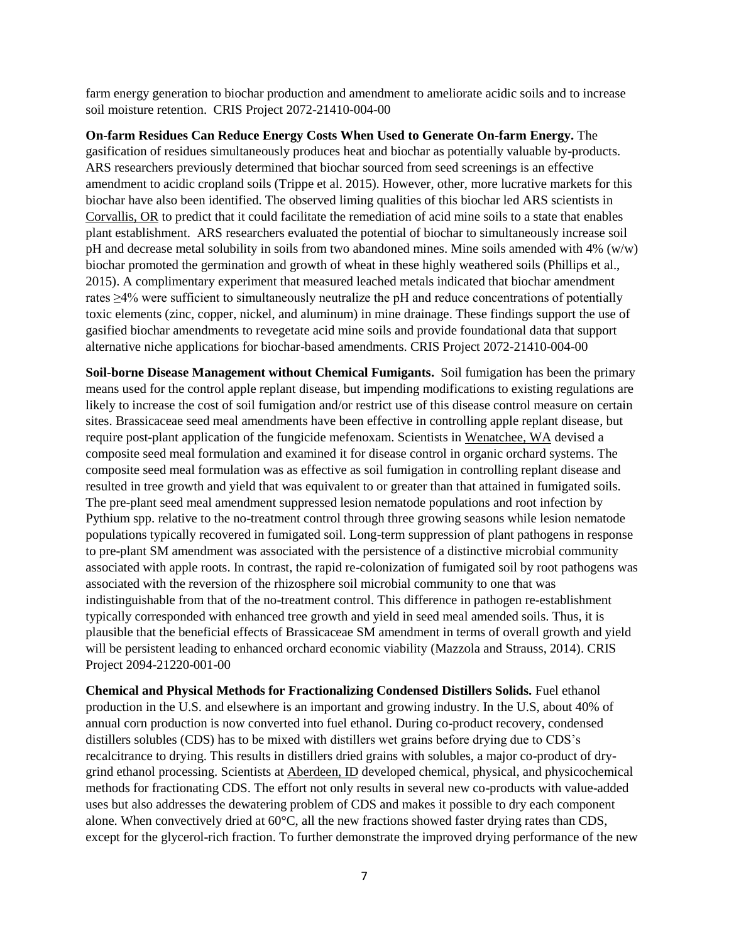farm energy generation to biochar production and amendment to ameliorate acidic soils and to increase soil moisture retention. CRIS Project 2072-21410-004-00

**On-farm Residues Can Reduce Energy Costs When Used to Generate On-farm Energy.** The gasification of residues simultaneously produces heat and biochar as potentially valuable by-products. ARS researchers previously determined that biochar sourced from seed screenings is an effective amendment to acidic cropland soils (Trippe et al. 2015). However, other, more lucrative markets for this biochar have also been identified. The observed liming qualities of this biochar led ARS scientists in Corvallis, OR to predict that it could facilitate the remediation of acid mine soils to a state that enables plant establishment. ARS researchers evaluated the potential of biochar to simultaneously increase soil pH and decrease metal solubility in soils from two abandoned mines. Mine soils amended with  $4\%$  (w/w) biochar promoted the germination and growth of wheat in these highly weathered soils (Phillips et al., 2015). A complimentary experiment that measured leached metals indicated that biochar amendment rates ≥4% were sufficient to simultaneously neutralize the pH and reduce concentrations of potentially toxic elements (zinc, copper, nickel, and aluminum) in mine drainage. These findings support the use of gasified biochar amendments to revegetate acid mine soils and provide foundational data that support alternative niche applications for biochar-based amendments. CRIS Project 2072-21410-004-00

**Soil-borne Disease Management without Chemical Fumigants.** Soil fumigation has been the primary means used for the control apple replant disease, but impending modifications to existing regulations are likely to increase the cost of soil fumigation and/or restrict use of this disease control measure on certain sites. Brassicaceae seed meal amendments have been effective in controlling apple replant disease, but require post-plant application of the fungicide mefenoxam. Scientists in Wenatchee, WA devised a composite seed meal formulation and examined it for disease control in organic orchard systems. The composite seed meal formulation was as effective as soil fumigation in controlling replant disease and resulted in tree growth and yield that was equivalent to or greater than that attained in fumigated soils. The pre-plant seed meal amendment suppressed lesion nematode populations and root infection by Pythium spp. relative to the no-treatment control through three growing seasons while lesion nematode populations typically recovered in fumigated soil. Long-term suppression of plant pathogens in response to pre-plant SM amendment was associated with the persistence of a distinctive microbial community associated with apple roots. In contrast, the rapid re-colonization of fumigated soil by root pathogens was associated with the reversion of the rhizosphere soil microbial community to one that was indistinguishable from that of the no-treatment control. This difference in pathogen re-establishment typically corresponded with enhanced tree growth and yield in seed meal amended soils. Thus, it is plausible that the beneficial effects of Brassicaceae SM amendment in terms of overall growth and yield will be persistent leading to enhanced orchard economic viability (Mazzola and Strauss, 2014). CRIS Project 2094-21220-001-00

**Chemical and Physical Methods for Fractionalizing Condensed Distillers Solids.** Fuel ethanol production in the U.S. and elsewhere is an important and growing industry. In the U.S, about 40% of annual corn production is now converted into fuel ethanol. During co-product recovery, condensed distillers solubles (CDS) has to be mixed with distillers wet grains before drying due to CDS's recalcitrance to drying. This results in distillers dried grains with solubles, a major co-product of drygrind ethanol processing. Scientists at Aberdeen, ID developed chemical, physical, and physicochemical methods for fractionating CDS. The effort not only results in several new co-products with value-added uses but also addresses the dewatering problem of CDS and makes it possible to dry each component alone. When convectively dried at 60°C, all the new fractions showed faster drying rates than CDS, except for the glycerol-rich fraction. To further demonstrate the improved drying performance of the new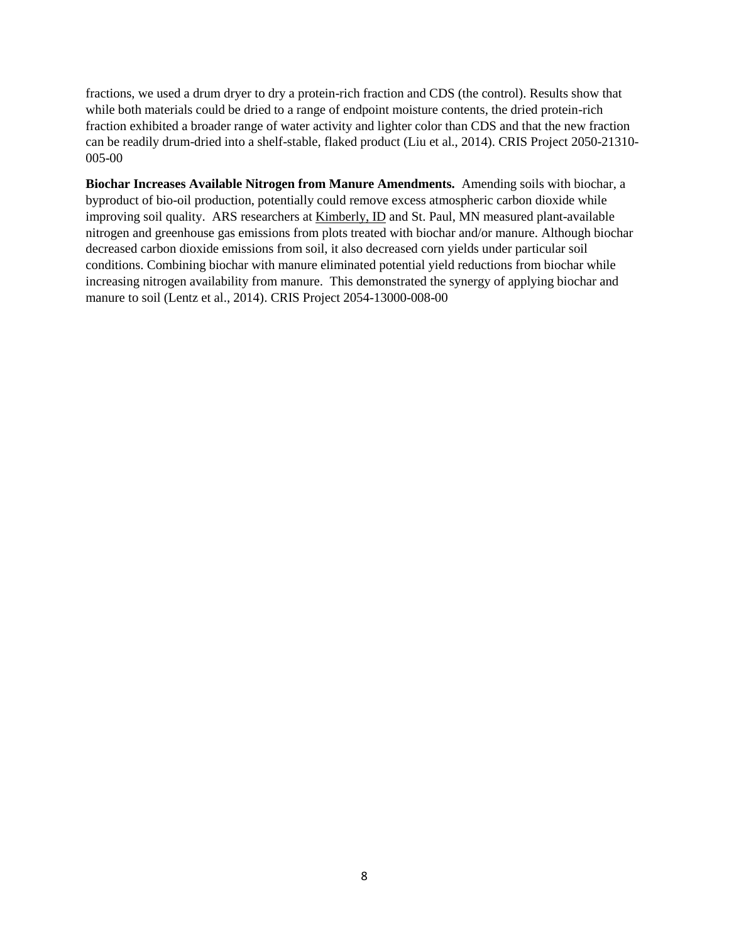fractions, we used a drum dryer to dry a protein-rich fraction and CDS (the control). Results show that while both materials could be dried to a range of endpoint moisture contents, the dried protein-rich fraction exhibited a broader range of water activity and lighter color than CDS and that the new fraction can be readily drum-dried into a shelf-stable, flaked product (Liu et al., 2014). CRIS Project 2050-21310- 005-00

**Biochar Increases Available Nitrogen from Manure Amendments.** Amending soils with biochar, a byproduct of bio-oil production, potentially could remove excess atmospheric carbon dioxide while improving soil quality. ARS researchers at Kimberly, ID and St. Paul, MN measured plant-available nitrogen and greenhouse gas emissions from plots treated with biochar and/or manure. Although biochar decreased carbon dioxide emissions from soil, it also decreased corn yields under particular soil conditions. Combining biochar with manure eliminated potential yield reductions from biochar while increasing nitrogen availability from manure. This demonstrated the synergy of applying biochar and manure to soil (Lentz et al., 2014). CRIS Project 2054-13000-008-00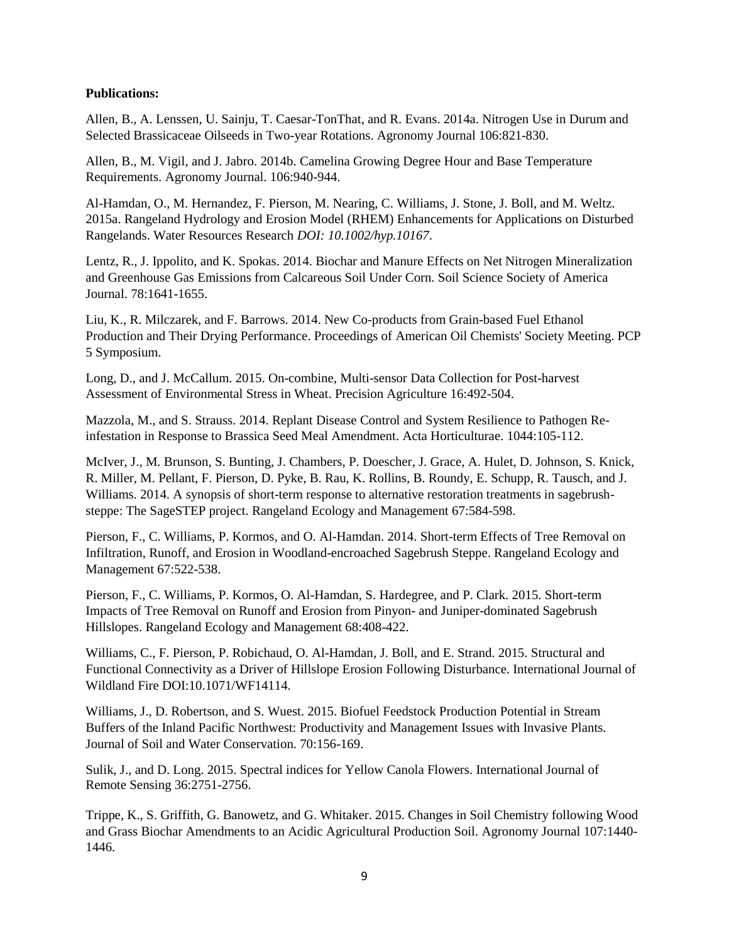#### **Publications:**

Allen, B., A. Lenssen, U. Sainju, T. Caesar-TonThat, and R. Evans. 2014a. Nitrogen Use in Durum and Selected Brassicaceae Oilseeds in Two-year Rotations. Agronomy Journal 106:821-830.

Allen, B., M. Vigil, and J. Jabro. 2014b. Camelina Growing Degree Hour and Base Temperature Requirements. Agronomy Journal. 106:940-944.

Al-Hamdan, O., M. Hernandez, F. Pierson, M. Nearing, C. Williams, J. Stone, J. Boll, and M. Weltz. 2015a. Rangeland Hydrology and Erosion Model (RHEM) Enhancements for Applications on Disturbed Rangelands. Water Resources Research *DOI: 10.1002/hyp.10167*.

Lentz, R., J. Ippolito, and K. Spokas. 2014. Biochar and Manure Effects on Net Nitrogen Mineralization and Greenhouse Gas Emissions from Calcareous Soil Under Corn. Soil Science Society of America Journal. 78:1641-1655.

Liu, K., R. Milczarek, and F. Barrows. 2014. New Co-products from Grain-based Fuel Ethanol Production and Their Drying Performance. Proceedings of American Oil Chemists' Society Meeting. PCP 5 Symposium.

Long, D., and J. McCallum. 2015. On-combine, Multi-sensor Data Collection for Post-harvest Assessment of Environmental Stress in Wheat. Precision Agriculture 16:492-504.

Mazzola, M., and S. Strauss. 2014. Replant Disease Control and System Resilience to Pathogen Reinfestation in Response to Brassica Seed Meal Amendment. Acta Horticulturae. 1044:105-112.

McIver, J., M. Brunson, S. Bunting, J. Chambers, P. Doescher, J. Grace, A. Hulet, D. Johnson, S. Knick, R. Miller, M. Pellant, F. Pierson, D. Pyke, B. Rau, K. Rollins, B. Roundy, E. Schupp, R. Tausch, and J. Williams. 2014. A synopsis of short-term response to alternative restoration treatments in sagebrushsteppe: The SageSTEP project. Rangeland Ecology and Management 67:584-598.

Pierson, F., C. Williams, P. Kormos, and O. Al-Hamdan. 2014. Short-term Effects of Tree Removal on Infiltration, Runoff, and Erosion in Woodland-encroached Sagebrush Steppe. Rangeland Ecology and Management 67:522-538.

Pierson, F., C. Williams, P. Kormos, O. Al-Hamdan, S. Hardegree, and P. Clark. 2015. Short-term Impacts of Tree Removal on Runoff and Erosion from Pinyon- and Juniper-dominated Sagebrush Hillslopes. Rangeland Ecology and Management 68:408-422.

Williams, C., F. Pierson, P. Robichaud, O. Al-Hamdan, J. Boll, and E. Strand. 2015. Structural and Functional Connectivity as a Driver of Hillslope Erosion Following Disturbance. International Journal of Wildland Fire DOI:10.1071/WF14114.

Williams, J., D. Robertson, and S. Wuest. 2015. Biofuel Feedstock Production Potential in Stream Buffers of the Inland Pacific Northwest: Productivity and Management Issues with Invasive Plants. Journal of Soil and Water Conservation. 70:156-169.

Sulik, J., and D. Long. 2015. Spectral indices for Yellow Canola Flowers. International Journal of Remote Sensing 36:2751-2756.

Trippe, K., S. Griffith, G. Banowetz, and G. Whitaker. 2015. Changes in Soil Chemistry following Wood and Grass Biochar Amendments to an Acidic Agricultural Production Soil. Agronomy Journal 107:1440- 1446.